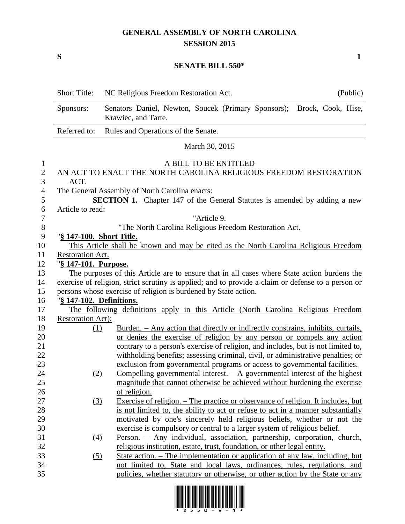## **GENERAL ASSEMBLY OF NORTH CAROLINA SESSION 2015**

**S 1**

## **SENATE BILL 550\***

|                   | <b>Short Title:</b>                                                                                | (Public)<br>NC Religious Freedom Restoration Act.                                                                                                                     |  |  |  |  |  |
|-------------------|----------------------------------------------------------------------------------------------------|-----------------------------------------------------------------------------------------------------------------------------------------------------------------------|--|--|--|--|--|
|                   | Sponsors:                                                                                          | Senators Daniel, Newton, Soucek (Primary Sponsors); Brock, Cook, Hise,<br>Krawiec, and Tarte.                                                                         |  |  |  |  |  |
|                   | Rules and Operations of the Senate.<br>Referred to:<br>March 30, 2015                              |                                                                                                                                                                       |  |  |  |  |  |
|                   |                                                                                                    |                                                                                                                                                                       |  |  |  |  |  |
| $\mathbf{1}$      |                                                                                                    | A BILL TO BE ENTITLED                                                                                                                                                 |  |  |  |  |  |
| $\mathbf{2}$<br>3 | AN ACT TO ENACT THE NORTH CAROLINA RELIGIOUS FREEDOM RESTORATION<br>ACT.                           |                                                                                                                                                                       |  |  |  |  |  |
| $\overline{4}$    | The General Assembly of North Carolina enacts:                                                     |                                                                                                                                                                       |  |  |  |  |  |
| 5                 | <b>SECTION 1.</b> Chapter 147 of the General Statutes is amended by adding a new                   |                                                                                                                                                                       |  |  |  |  |  |
| 6                 | Article to read:                                                                                   |                                                                                                                                                                       |  |  |  |  |  |
| $\tau$            |                                                                                                    | "Article 9.                                                                                                                                                           |  |  |  |  |  |
| $8\,$             |                                                                                                    | "The North Carolina Religious Freedom Restoration Act.                                                                                                                |  |  |  |  |  |
| 9                 | "§ 147-100. Short Title.                                                                           |                                                                                                                                                                       |  |  |  |  |  |
| 10                | This Article shall be known and may be cited as the North Carolina Religious Freedom               |                                                                                                                                                                       |  |  |  |  |  |
| 11                | <b>Restoration Act.</b>                                                                            |                                                                                                                                                                       |  |  |  |  |  |
| 12                | "§ 147-101. Purpose.                                                                               |                                                                                                                                                                       |  |  |  |  |  |
| 13                | The purposes of this Article are to ensure that in all cases where State action burdens the        |                                                                                                                                                                       |  |  |  |  |  |
| 14                | exercise of religion, strict scrutiny is applied; and to provide a claim or defense to a person or |                                                                                                                                                                       |  |  |  |  |  |
| 15                | persons whose exercise of religion is burdened by State action.                                    |                                                                                                                                                                       |  |  |  |  |  |
| 16                | "§ 147-102. Definitions.                                                                           |                                                                                                                                                                       |  |  |  |  |  |
| 17                |                                                                                                    | The following definitions apply in this Article (North Carolina Religious Freedom                                                                                     |  |  |  |  |  |
| 18                | <b>Restoration Act):</b>                                                                           |                                                                                                                                                                       |  |  |  |  |  |
| 19                | (1)                                                                                                | Burden. - Any action that directly or indirectly constrains, inhibits, curtails,                                                                                      |  |  |  |  |  |
| 20                |                                                                                                    | or denies the exercise of religion by any person or compels any action                                                                                                |  |  |  |  |  |
| 21<br>22          |                                                                                                    | contrary to a person's exercise of religion, and includes, but is not limited to,<br>withholding benefits; assessing criminal, civil, or administrative penalties; or |  |  |  |  |  |
| 23                |                                                                                                    | exclusion from governmental programs or access to governmental facilities.                                                                                            |  |  |  |  |  |
| 24                | (2)                                                                                                | Compelling governmental interest. $-$ A governmental interest of the highest                                                                                          |  |  |  |  |  |
| 25                |                                                                                                    | magnitude that cannot otherwise be achieved without burdening the exercise                                                                                            |  |  |  |  |  |
| 26                |                                                                                                    | of religion.                                                                                                                                                          |  |  |  |  |  |
| 27                | (3)                                                                                                | Exercise of religion. – The practice or observance of religion. It includes, but                                                                                      |  |  |  |  |  |
| 28                |                                                                                                    | is not limited to, the ability to act or refuse to act in a manner substantially                                                                                      |  |  |  |  |  |
| 29                |                                                                                                    | motivated by one's sincerely held religious beliefs, whether or not the                                                                                               |  |  |  |  |  |
| 30                |                                                                                                    | exercise is compulsory or central to a larger system of religious belief.                                                                                             |  |  |  |  |  |
| 31                | (4)                                                                                                | Person. - Any individual, association, partnership, corporation, church,                                                                                              |  |  |  |  |  |
| 32                |                                                                                                    | religious institution, estate, trust, foundation, or other legal entity.                                                                                              |  |  |  |  |  |
| 33                | (5)                                                                                                | State action. – The implementation or application of any law, including, but                                                                                          |  |  |  |  |  |
| 34                |                                                                                                    | not limited to, State and local laws, ordinances, rules, regulations, and                                                                                             |  |  |  |  |  |
| 35                |                                                                                                    | policies, whether statutory or otherwise, or other action by the State or any                                                                                         |  |  |  |  |  |